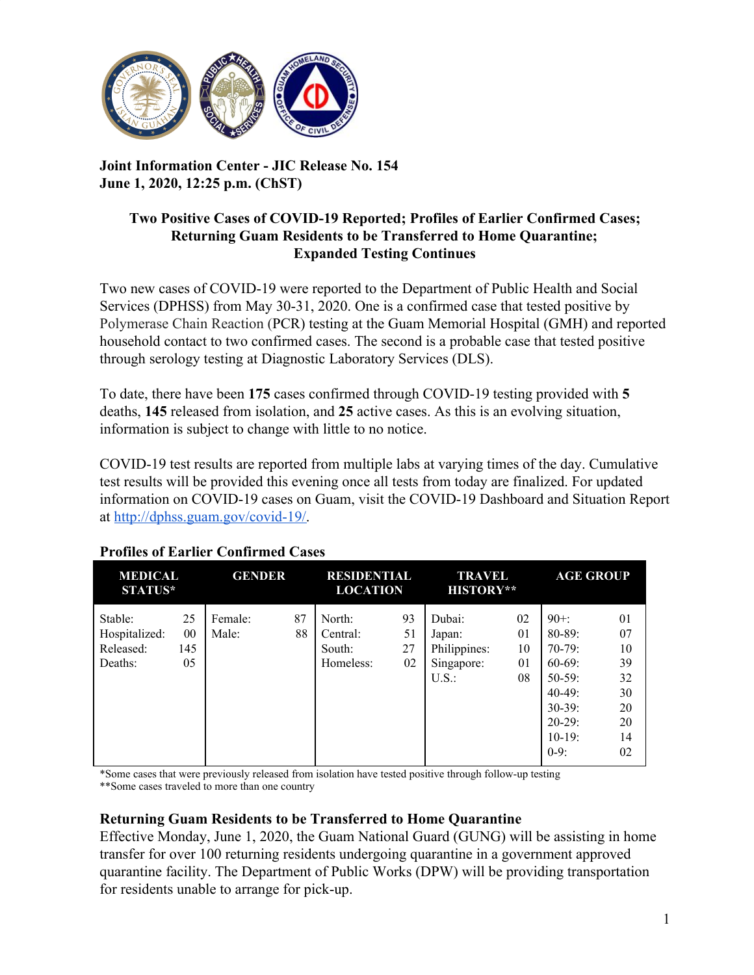

### **Joint Information Center - JIC Release No. 154 June 1, 2020, 12:25 p.m. (ChST)**

#### **Two Positive Cases of COVID-19 Reported; Profiles of Earlier Confirmed Cases; Returning Guam Residents to be Transferred to Home Quarantine; Expanded Testing Continues**

Two new cases of COVID-19 were reported to the Department of Public Health and Social Services (DPHSS) from May 30-31, 2020. One is a confirmed case that tested positive by Polymerase Chain Reaction (PCR) testing at the Guam Memorial Hospital (GMH) and reported household contact to two confirmed cases. The second is a probable case that tested positive through serology testing at Diagnostic Laboratory Services (DLS).

To date, there have been **175** cases confirmed through COVID-19 testing provided with **5** deaths, **145** released from isolation, and **25** active cases. As this is an evolving situation, information is subject to change with little to no notice.

COVID-19 test results are reported from multiple labs at varying times of the day. Cumulative test results will be provided this evening once all tests from today are finalized. For updated information on COVID-19 cases on Guam, visit the COVID-19 Dashboard and Situation Report at [http://dphss.guam.gov/covid-19/.](http://dphss.guam.gov/covid-19/)

| <b>MEDICAL</b><br><b>STATUS*</b>                 |                           | <b>GENDER</b>    |          | <b>RESIDENTIAL</b><br><b>LOCATION</b>     |                      | TRAVEL<br><b>HISTORY**</b>                             |                            | <b>AGE GROUP</b>                                                                                                             |                                                          |
|--------------------------------------------------|---------------------------|------------------|----------|-------------------------------------------|----------------------|--------------------------------------------------------|----------------------------|------------------------------------------------------------------------------------------------------------------------------|----------------------------------------------------------|
| Stable:<br>Hospitalized:<br>Released:<br>Deaths: | 25<br>$00\,$<br>145<br>05 | Female:<br>Male: | 87<br>88 | North:<br>Central:<br>South:<br>Homeless: | 93<br>51<br>27<br>02 | Dubai:<br>Japan:<br>Philippines:<br>Singapore:<br>U.S. | 02<br>01<br>10<br>01<br>08 | $90 + 1$<br>$80 - 89$ :<br>$70-79:$<br>$60-69$ :<br>$50-59$ :<br>$40-49$ :<br>$30-39$ :<br>$20-29$ :<br>$10-19$ :<br>$0-9$ : | 01<br>07<br>10<br>39<br>32<br>30<br>20<br>20<br>14<br>02 |

# **Profiles of Earlier Confirmed Cases**

\*Some cases that were previously released from isolation have tested positive through follow-up testing \*\*Some cases traveled to more than one country

## **Returning Guam Residents to be Transferred to Home Quarantine**

Effective Monday, June 1, 2020, the Guam National Guard (GUNG) will be assisting in home transfer for over 100 returning residents undergoing quarantine in a government approved quarantine facility. The Department of Public Works (DPW) will be providing transportation for residents unable to arrange for pick-up.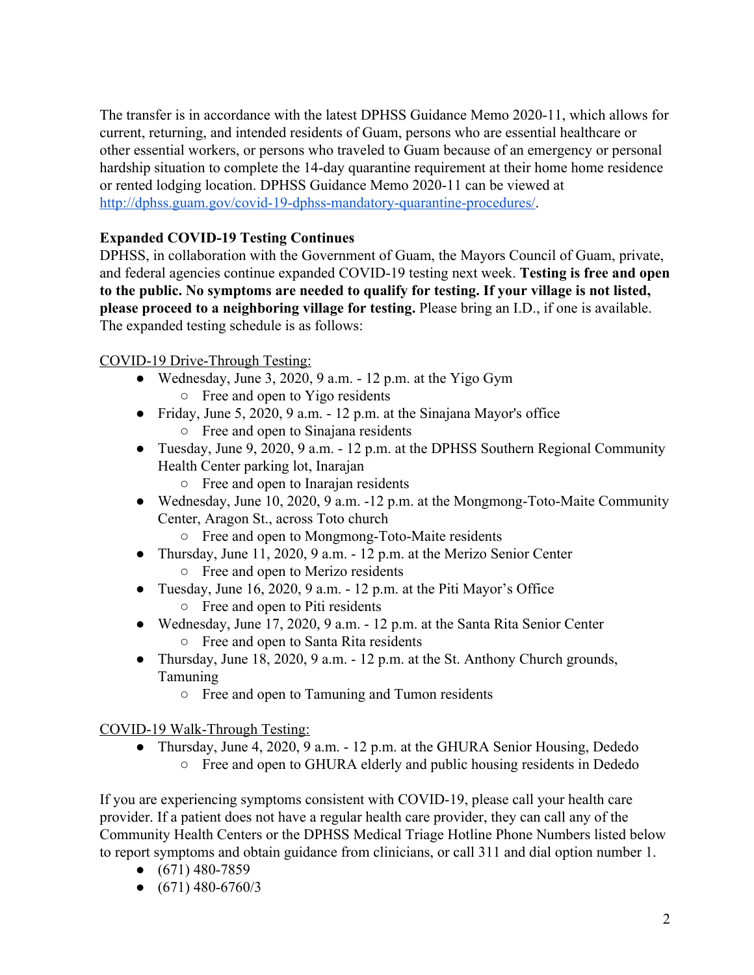The transfer is in accordance with the latest DPHSS Guidance Memo 2020-11, which allows for current, returning, and intended residents of Guam, persons who are essential healthcare or other essential workers, or persons who traveled to Guam because of an emergency or personal hardship situation to complete the 14-day quarantine requirement at their home home residence or rented lodging location. DPHSS Guidance Memo 2020-11 can be viewed at [http://dphss.guam.gov/covid-19-dphss-mandatory-quarantine-procedures/.](http://dphss.guam.gov/covid-19-dphss-mandatory-quarantine-procedures/)

### **Expanded COVID-19 Testing Continues**

DPHSS, in collaboration with the Government of Guam, the Mayors Council of Guam, private, and federal agencies continue expanded COVID-19 testing next week. **Testing is free and open to the public. No symptoms are needed to qualify for testing. If your village is not listed, please proceed to a neighboring village for testing.** Please bring an I.D., if one is available. The expanded testing schedule is as follows:

#### COVID-19 Drive-Through Testing:

- Wednesday, June 3, 2020, 9 a.m.  $-12$  p.m. at the Yigo Gym ○ Free and open to Yigo residents
- Friday, June 5, 2020, 9 a.m.  $-12$  p.m. at the Sinajana Mayor's office ○ Free and open to Sinajana residents
- Tuesday, June 9, 2020, 9 a.m. 12 p.m. at the DPHSS Southern Regional Community Health Center parking lot, Inarajan
	- Free and open to Inarajan residents
- Wednesday, June 10, 2020, 9 a.m. -12 p.m. at the Mongmong-Toto-Maite Community Center, Aragon St., across Toto church
	- Free and open to Mongmong-Toto-Maite residents
- Thursday, June 11, 2020, 9 a.m. 12 p.m. at the Merizo Senior Center ○ Free and open to Merizo residents
- Tuesday, June 16, 2020, 9 a.m. 12 p.m. at the Piti Mayor's Office ○ Free and open to Piti residents
- Wednesday, June 17, 2020, 9 a.m. 12 p.m. at the Santa Rita Senior Center ○ Free and open to Santa Rita residents
- Thursday, June 18, 2020, 9 a.m. 12 p.m. at the St. Anthony Church grounds, Tamuning
	- Free and open to Tamuning and Tumon residents

COVID-19 Walk-Through Testing:

• Thursday, June 4, 2020, 9 a.m. - 12 p.m. at the GHURA Senior Housing, Dededo ○ Free and open to GHURA elderly and public housing residents in Dededo

If you are experiencing symptoms consistent with COVID-19, please call your health care provider. If a patient does not have a regular health care provider, they can call any of the Community Health Centers or the DPHSS Medical Triage Hotline Phone Numbers listed below to report symptoms and obtain guidance from clinicians, or call 311 and dial option number 1.

- $\bullet$  (671) 480-7859
- $\bullet$  (671) 480-6760/3